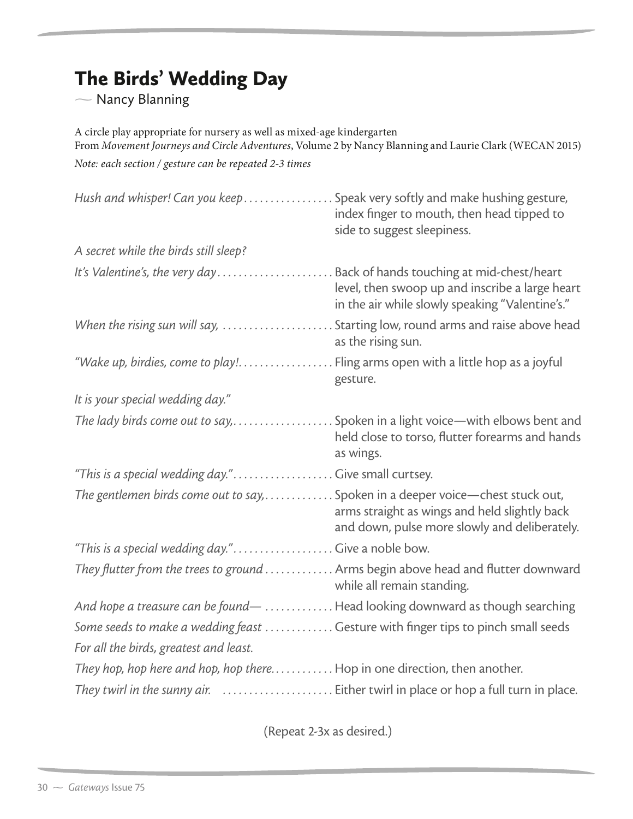## The Birds' Wedding Day

 $\overline{\phantom{0}}$ Nancy Blanning

A circle play appropriate for nursery as well as mixed-age kindergarten From *Movement Journeys and Circle Adventures*, Volume 2 by Nancy Blanning and Laurie Clark (WECAN 2015) *Note: each section / gesture can be repeated 2-3 times*

| Hush and whisper! Can you keep Speak very softly and make hushing gesture,        | index finger to mouth, then head tipped to<br>side to suggest sleepiness.                          |
|-----------------------------------------------------------------------------------|----------------------------------------------------------------------------------------------------|
| A secret while the birds still sleep?                                             |                                                                                                    |
| It's Valentine's, the very day Back of hands touching at mid-chest/heart          | level, then swoop up and inscribe a large heart<br>in the air while slowly speaking "Valentine's." |
|                                                                                   | . Starting low, round arms and raise above head<br>as the rising sun.                              |
| "Wake up, birdies, come to play! Fling arms open with a little hop as a joyful    | gesture.                                                                                           |
| It is your special wedding day."                                                  |                                                                                                    |
| The lady birds come out to say,  Spoken in a light voice—with elbows bent and     | held close to torso, flutter forearms and hands<br>as wings.                                       |
| "This is a special wedding day." Give small curtsey.                              |                                                                                                    |
| The gentlemen birds come out to say,  Spoken in a deeper voice—chest stuck out,   | arms straight as wings and held slightly back<br>and down, pulse more slowly and deliberately.     |
| "This is a special wedding day." Give a noble bow.                                |                                                                                                    |
| They flutter from the trees to ground Arms begin above head and flutter downward  | while all remain standing.                                                                         |
| And hope a treasure can be found-  Head looking downward as though searching      |                                                                                                    |
| Some seeds to make a wedding feast  Gesture with finger tips to pinch small seeds |                                                                                                    |
| For all the birds, greatest and least.                                            |                                                                                                    |
| They hop, hop here and hop, hop there Hop in one direction, then another.         |                                                                                                    |
|                                                                                   |                                                                                                    |

(Repeat 2-3x as desired.)